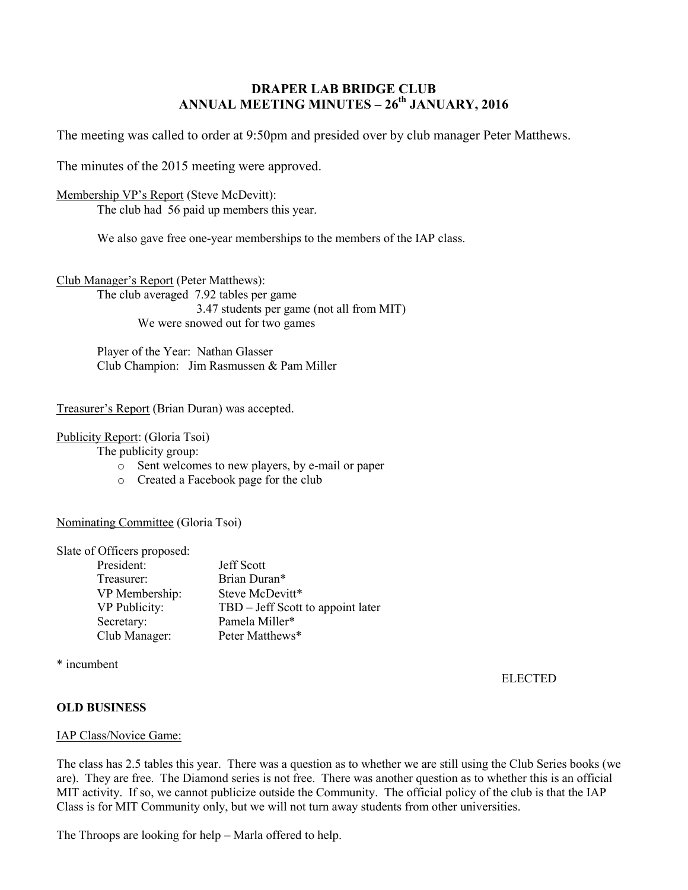# **DRAPER LAB BRIDGE CLUB ANNUAL MEETING MINUTES – 26th JANUARY, 2016**

The meeting was called to order at 9:50pm and presided over by club manager Peter Matthews.

The minutes of the 2015 meeting were approved.

## Membership VP's Report (Steve McDevitt):

The club had 56 paid up members this year.

We also gave free one-year memberships to the members of the IAP class.

Club Manager's Report (Peter Matthews): The club averaged 7.92 tables per game 3.47 students per game (not all from MIT) We were snowed out for two games

> Player of the Year: Nathan Glasser Club Champion: Jim Rasmussen & Pam Miller

### Treasurer's Report (Brian Duran) was accepted.

### Publicity Report: (Gloria Tsoi)

The publicity group:

- o Sent welcomes to new players, by e-mail or paper
- o Created a Facebook page for the club

# Nominating Committee (Gloria Tsoi)

Slate of Officers proposed:

| President:     | <b>Jeff Scott</b>                 |
|----------------|-----------------------------------|
| Treasurer:     | Brian Duran*                      |
| VP Membership: | Steve McDevitt*                   |
| VP Publicity:  | TBD – Jeff Scott to appoint later |
| Secretary:     | Pamela Miller*                    |
| Club Manager:  | Peter Matthews*                   |

\* incumbent

ELECTED

# **OLD BUSINESS**

#### IAP Class/Novice Game:

The class has 2.5 tables this year. There was a question as to whether we are still using the Club Series books (we are). They are free. The Diamond series is not free. There was another question as to whether this is an official MIT activity. If so, we cannot publicize outside the Community. The official policy of the club is that the IAP Class is for MIT Community only, but we will not turn away students from other universities.

The Throops are looking for help – Marla offered to help.